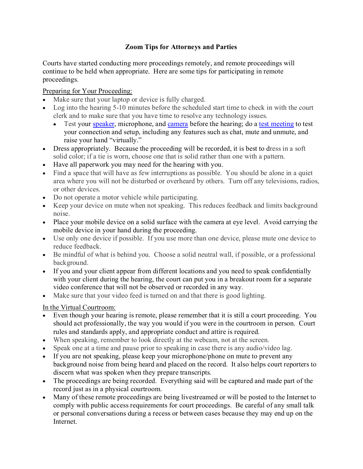## **Zoom Tips for Attorneys and Parties**

Courts have started conducting more proceedings remotely, and remote proceedings will continue to be held when appropriate. Here are some tips for participating in remote proceedings.

Preparing for Your Proceeding:

- Make sure that your laptop or device is fully charged.
- Log into the hearing 5-10 minutes before the scheduled start time to check in with the court clerk and to make sure that you have time to resolve any technology issues.
	- Test your [speaker,](https://support.zoom.us/hc/en-us/articles/201362283-How-Do-I-Join-or-Test-My-Computer-Audio-) microphone, and [camera](https://support.zoom.us/hc/en-us/articles/201362313-How-Do-I-Test-My-Video-) before the hearing; do a [test meeting](http://zoom.us/test) to test your connection and setup, including any features such as chat, mute and unmute, and raise your hand "virtually."
- Dress appropriately. Because the proceeding will be recorded, it is best to dress in a soft solid color; if a tie is worn, choose one that is solid rather than one with a pattern.
- Have all paperwork you may need for the hearing with you.
- Find a space that will have as few interruptions as possible. You should be alone in a quiet area where you will not be disturbed or overheard by others. Turn off any televisions, radios, or other devices.
- Do not operate a motor vehicle while participating.
- Keep your device on mute when not speaking. This reduces feedback and limits background noise.
- Place your mobile device on a solid surface with the camera at eye level. Avoid carrying the mobile device in your hand during the proceeding.
- Use only one device if possible. If you use more than one device, please mute one device to reduce feedback.
- Be mindful of what is behind you. Choose a solid neutral wall, if possible, or a professional background.
- If you and your client appear from different locations and you need to speak confidentially with your client during the hearing, the court can put you in a breakout room for a separate video conference that will not be observed or recorded in any way.
- Make sure that your video feed is turned on and that there is good lighting.

In the Virtual Courtroom:

- Even though your hearing is remote, please remember that it is still a court proceeding. You should act professionally, the way you would if you were in the courtroom in person. Court rules and standards apply, and appropriate conduct and attire is required.
- When speaking, remember to look directly at the webcam, not at the screen.
- Speak one at a time and pause prior to speaking in case there is any audio/video lag.
- If you are not speaking, please keep your microphone/phone on mute to prevent any background noise from being heard and placed on the record. It also helps court reporters to discern what was spoken when they prepare transcripts.
- The proceedings are being recorded. Everything said will be captured and made part of the record just as in a physical courtroom.
- Many of these remote proceedings are being livestreamed or will be posted to the Internet to comply with public access requirements for court proceedings. Be careful of any small talk or personal conversations during a recess or between cases because they may end up on the Internet.